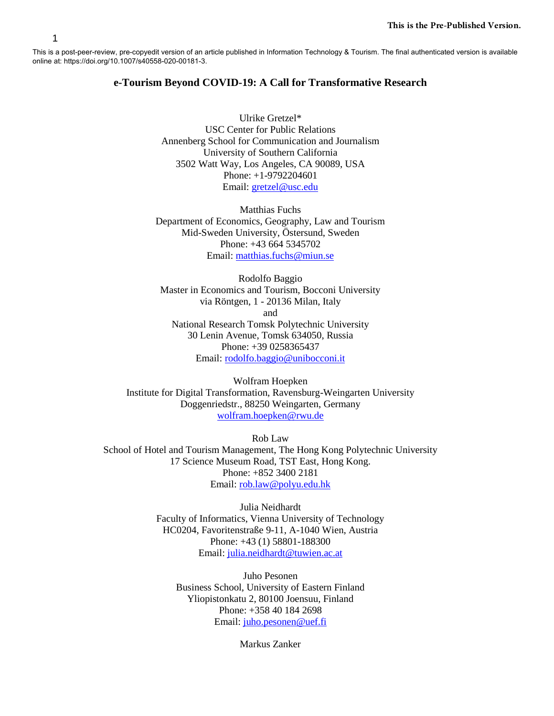This is a post-peer-review, pre-copyedit version of an article published in Information Technology & Tourism. The final authenticated version is available online at: https://doi.org/10.1007/s40558-020-00181-3.

#### **e-Tourism Beyond COVID-19: A Call for Transformative Research**

Ulrike Gretzel\* USC Center for Public Relations Annenberg School for Communication and Journalism University of Southern California 3502 Watt Way, Los Angeles, CA 90089, USA Phone: +1-9792204601 Email: [gretzel@usc.edu](mailto:gretzel@usc.edu)

Matthias Fuchs Department of Economics, Geography, Law and Tourism Mid-Sweden University, Östersund, Sweden Phone: +43 664 5345702 Email: [matthias.fuchs@miun.se](mailto:matthias.fuchs@miun.se)

Rodolfo Baggio Master in Economics and Tourism, Bocconi University via Röntgen, 1 - 20136 Milan, Italy and National Research Tomsk Polytechnic University 30 Lenin Avenue, Tomsk 634050, Russia Phone: +39 0258365437 Email: [rodolfo.baggio@unibocconi.it](mailto:rodolfo.baggio@unibocconi.it)

Wolfram Hoepken Institute for Digital Transformation, Ravensburg-Weingarten University Doggenriedstr., 88250 Weingarten, Germany [wolfram.hoepken@rwu.de](mailto:wolfram.hoepken@rwu.de)

Rob Law School of Hotel and Tourism Management, The Hong Kong Polytechnic University 17 Science Museum Road, TST East, Hong Kong. Phone: +852 3400 2181 Email: [rob.law@polyu.edu.hk](mailto:rob.law@polyu.edu.hk)

> Julia Neidhardt Faculty of Informatics, Vienna University of Technology HC0204, Favoritenstraße 9-11, A-1040 Wien, Austria Phone: +43 (1) 58801-188300 Email: [julia.neidhardt@tuwien.ac.at](mailto:julia.neidhardt@tuwien.ac.at)

Juho Pesonen Business School, University of Eastern Finland Yliopistonkatu 2, 80100 Joensuu, Finland Phone: +358 40 184 2698 Email: [juho.pesonen@uef.fi](mailto:juho.pesonen@uef.fi)

Markus Zanker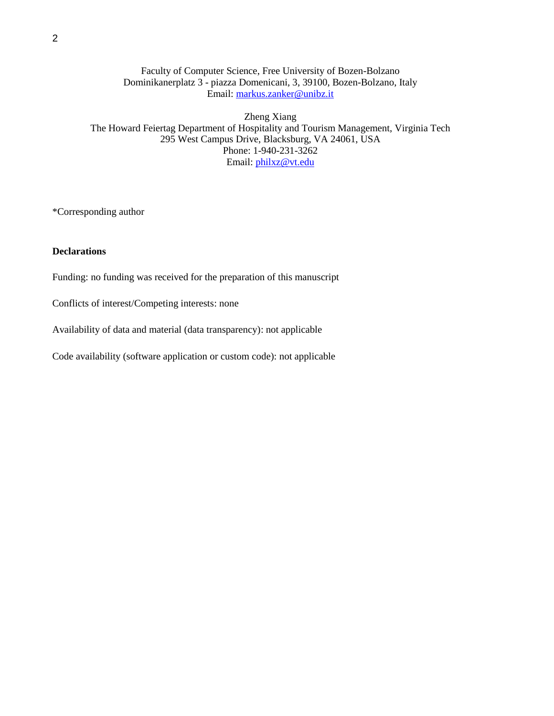Faculty of Computer Science, Free University of Bozen-Bolzano Dominikanerplatz 3 - piazza Domenicani, 3, 39100, Bozen-Bolzano, Italy Email: [markus.zanker@unibz.it](mailto:markus.zanker@unibz.it)

Zheng Xiang The Howard Feiertag Department of Hospitality and Tourism Management, Virginia Tech 295 West Campus Drive, Blacksburg, VA 24061, USA Phone: 1-940-231-3262 Email: [philxz@vt.edu](mailto:philxz@vt.edu)

\*Corresponding author

#### **Declarations**

Funding: no funding was received for the preparation of this manuscript

Conflicts of interest/Competing interests: none

Availability of data and material (data transparency): not applicable

Code availability (software application or custom code): not applicable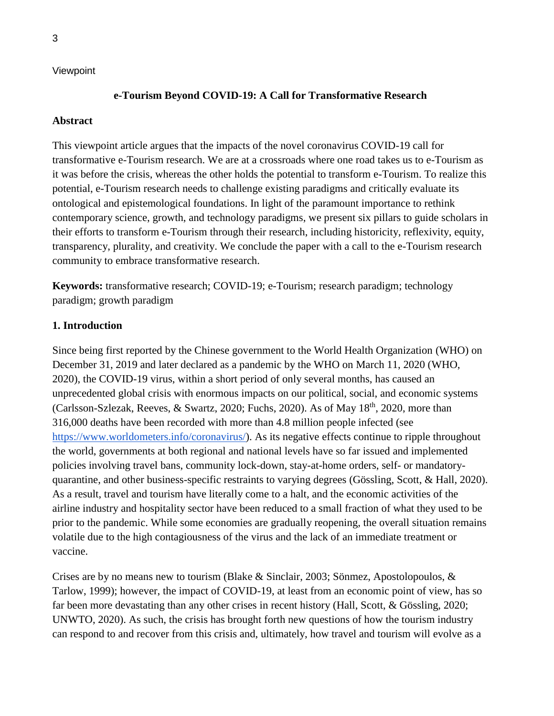### Viewpoint

### **e-Tourism Beyond COVID-19: A Call for Transformative Research**

#### **Abstract**

This viewpoint article argues that the impacts of the novel coronavirus COVID-19 call for transformative e-Tourism research. We are at a crossroads where one road takes us to e-Tourism as it was before the crisis, whereas the other holds the potential to transform e-Tourism. To realize this potential, e-Tourism research needs to challenge existing paradigms and critically evaluate its ontological and epistemological foundations. In light of the paramount importance to rethink contemporary science, growth, and technology paradigms, we present six pillars to guide scholars in their efforts to transform e-Tourism through their research, including historicity, reflexivity, equity, transparency, plurality, and creativity. We conclude the paper with a call to the e-Tourism research community to embrace transformative research.

**Keywords:** transformative research; COVID-19; e-Tourism; research paradigm; technology paradigm; growth paradigm

#### **1. Introduction**

Since being first reported by the Chinese government to the World Health Organization (WHO) on December 31, 2019 and later declared as a pandemic by the WHO on March 11, 2020 (WHO, 2020), the COVID-19 virus, within a short period of only several months, has caused an unprecedented global crisis with enormous impacts on our political, social, and economic systems (Carlsson-Szlezak, Reeves, & Swartz, 2020; Fuchs, 2020). As of May 18<sup>th</sup>, 2020, more than 316,000 deaths have been recorded with more than 4.8 million people infected (see [https://www.worldometers.info/coronavirus/\)](https://www.worldometers.info/coronavirus/). As its negative effects continue to ripple throughout the world, governments at both regional and national levels have so far issued and implemented policies involving travel bans, community lock-down, stay-at-home orders, self- or mandatoryquarantine, and other business-specific restraints to varying degrees (Gössling, Scott, & Hall, 2020). As a result, travel and tourism have literally come to a halt, and the economic activities of the airline industry and hospitality sector have been reduced to a small fraction of what they used to be prior to the pandemic. While some economies are gradually reopening, the overall situation remains volatile due to the high contagiousness of the virus and the lack of an immediate treatment or vaccine.

Crises are by no means new to tourism (Blake & Sinclair, 2003; Sönmez, Apostolopoulos, & Tarlow, 1999); however, the impact of COVID-19, at least from an economic point of view, has so far been more devastating than any other crises in recent history (Hall, Scott, & Gössling, 2020; UNWTO, 2020). As such, the crisis has brought forth new questions of how the tourism industry can respond to and recover from this crisis and, ultimately, how travel and tourism will evolve as a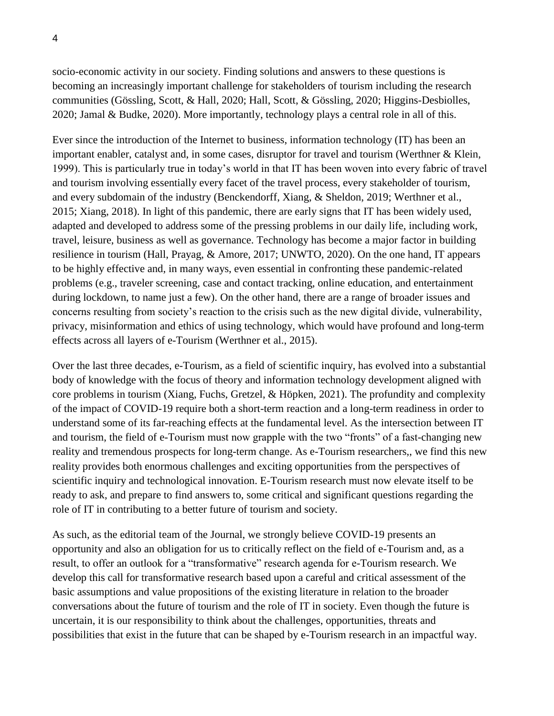socio-economic activity in our society. Finding solutions and answers to these questions is becoming an increasingly important challenge for stakeholders of tourism including the research communities (Gössling, Scott, & Hall, 2020; Hall, Scott, & Gössling, 2020; Higgins-Desbiolles, 2020; Jamal & Budke, 2020). More importantly, technology plays a central role in all of this.

Ever since the introduction of the Internet to business, information technology (IT) has been an important enabler, catalyst and, in some cases, disruptor for travel and tourism (Werthner & Klein, 1999). This is particularly true in today's world in that IT has been woven into every fabric of travel and tourism involving essentially every facet of the travel process, every stakeholder of tourism, and every subdomain of the industry (Benckendorff, Xiang, & Sheldon, 2019; Werthner et al., 2015; Xiang, 2018). In light of this pandemic, there are early signs that IT has been widely used, adapted and developed to address some of the pressing problems in our daily life, including work, travel, leisure, business as well as governance. Technology has become a major factor in building resilience in tourism (Hall, Prayag, & Amore, 2017; UNWTO, 2020). On the one hand, IT appears to be highly effective and, in many ways, even essential in confronting these pandemic-related problems (e.g., traveler screening, case and contact tracking, online education, and entertainment during lockdown, to name just a few). On the other hand, there are a range of broader issues and concerns resulting from society's reaction to the crisis such as the new digital divide, vulnerability, privacy, misinformation and ethics of using technology, which would have profound and long-term effects across all layers of e-Tourism (Werthner et al., 2015).

Over the last three decades, e-Tourism, as a field of scientific inquiry, has evolved into a substantial body of knowledge with the focus of theory and information technology development aligned with core problems in tourism (Xiang, Fuchs, Gretzel, & Höpken, 2021). The profundity and complexity of the impact of COVID-19 require both a short-term reaction and a long-term readiness in order to understand some of its far-reaching effects at the fundamental level. As the intersection between IT and tourism, the field of e-Tourism must now grapple with the two "fronts" of a fast-changing new reality and tremendous prospects for long-term change. As e-Tourism researchers,, we find this new reality provides both enormous challenges and exciting opportunities from the perspectives of scientific inquiry and technological innovation. E-Tourism research must now elevate itself to be ready to ask, and prepare to find answers to, some critical and significant questions regarding the role of IT in contributing to a better future of tourism and society.

As such, as the editorial team of the Journal, we strongly believe COVID-19 presents an opportunity and also an obligation for us to critically reflect on the field of e-Tourism and, as a result, to offer an outlook for a "transformative" research agenda for e-Tourism research. We develop this call for transformative research based upon a careful and critical assessment of the basic assumptions and value propositions of the existing literature in relation to the broader conversations about the future of tourism and the role of IT in society. Even though the future is uncertain, it is our responsibility to think about the challenges, opportunities, threats and possibilities that exist in the future that can be shaped by e-Tourism research in an impactful way.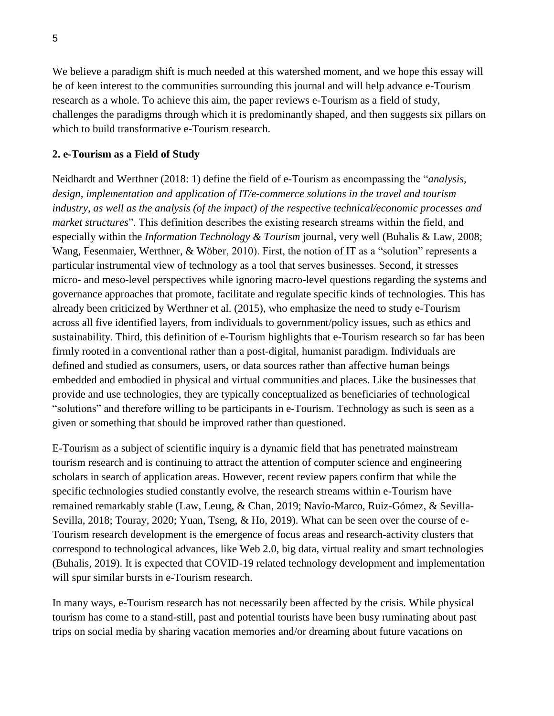We believe a paradigm shift is much needed at this watershed moment, and we hope this essay will be of keen interest to the communities surrounding this journal and will help advance e-Tourism research as a whole. To achieve this aim, the paper reviews e-Tourism as a field of study, challenges the paradigms through which it is predominantly shaped, and then suggests six pillars on which to build transformative e-Tourism research.

#### **2. e-Tourism as a Field of Study**

Neidhardt and Werthner (2018: 1) define the field of e-Tourism as encompassing the "*analysis, design, implementation and application of IT/e-commerce solutions in the travel and tourism industry, as well as the analysis (of the impact) of the respective technical/economic processes and market structures*". This definition describes the existing research streams within the field, and especially within the *Information Technology & Tourism* journal, very well (Buhalis & Law, 2008; Wang, Fesenmaier, Werthner, & Wöber, 2010). First, the notion of IT as a "solution" represents a particular instrumental view of technology as a tool that serves businesses. Second, it stresses micro- and meso-level perspectives while ignoring macro-level questions regarding the systems and governance approaches that promote, facilitate and regulate specific kinds of technologies. This has already been criticized by Werthner et al. (2015), who emphasize the need to study e-Tourism across all five identified layers, from individuals to government/policy issues, such as ethics and sustainability. Third, this definition of e-Tourism highlights that e-Tourism research so far has been firmly rooted in a conventional rather than a post-digital, humanist paradigm. Individuals are defined and studied as consumers, users, or data sources rather than affective human beings embedded and embodied in physical and virtual communities and places. Like the businesses that provide and use technologies, they are typically conceptualized as beneficiaries of technological "solutions" and therefore willing to be participants in e-Tourism. Technology as such is seen as a given or something that should be improved rather than questioned.

E-Tourism as a subject of scientific inquiry is a dynamic field that has penetrated mainstream tourism research and is continuing to attract the attention of computer science and engineering scholars in search of application areas. However, recent review papers confirm that while the specific technologies studied constantly evolve, the research streams within e-Tourism have remained remarkably stable (Law, Leung, & Chan, 2019; Navío-Marco, Ruiz-Gómez, & Sevilla-Sevilla, 2018; Touray, 2020; Yuan, Tseng, & Ho, 2019). What can be seen over the course of e-Tourism research development is the emergence of focus areas and research-activity clusters that correspond to technological advances, like Web 2.0, big data, virtual reality and smart technologies (Buhalis, 2019). It is expected that COVID-19 related technology development and implementation will spur similar bursts in e-Tourism research.

In many ways, e-Tourism research has not necessarily been affected by the crisis. While physical tourism has come to a stand-still, past and potential tourists have been busy ruminating about past trips on social media by sharing vacation memories and/or dreaming about future vacations on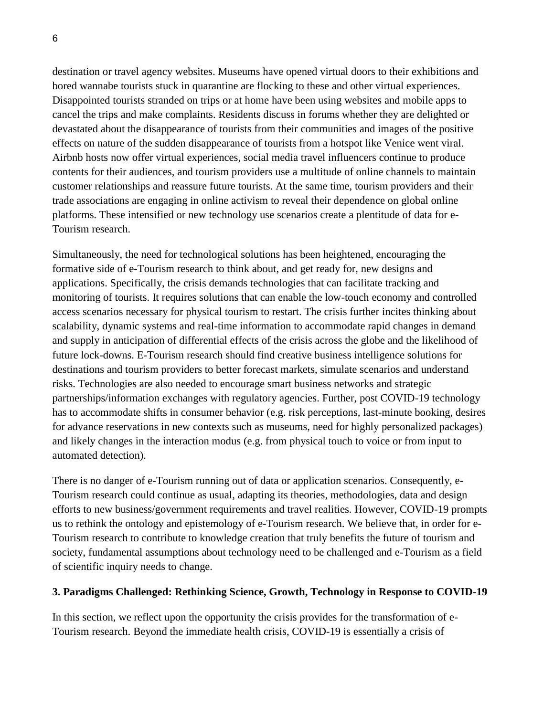destination or travel agency websites. Museums have opened virtual doors to their exhibitions and bored wannabe tourists stuck in quarantine are flocking to these and other virtual experiences. Disappointed tourists stranded on trips or at home have been using websites and mobile apps to cancel the trips and make complaints. Residents discuss in forums whether they are delighted or devastated about the disappearance of tourists from their communities and images of the positive effects on nature of the sudden disappearance of tourists from a hotspot like Venice went viral. Airbnb hosts now offer virtual experiences, social media travel influencers continue to produce contents for their audiences, and tourism providers use a multitude of online channels to maintain customer relationships and reassure future tourists. At the same time, tourism providers and their trade associations are engaging in online activism to reveal their dependence on global online platforms. These intensified or new technology use scenarios create a plentitude of data for e-Tourism research.

Simultaneously, the need for technological solutions has been heightened, encouraging the formative side of e-Tourism research to think about, and get ready for, new designs and applications. Specifically, the crisis demands technologies that can facilitate tracking and monitoring of tourists. It requires solutions that can enable the low-touch economy and controlled access scenarios necessary for physical tourism to restart. The crisis further incites thinking about scalability, dynamic systems and real-time information to accommodate rapid changes in demand and supply in anticipation of differential effects of the crisis across the globe and the likelihood of future lock-downs. E-Tourism research should find creative business intelligence solutions for destinations and tourism providers to better forecast markets, simulate scenarios and understand risks. Technologies are also needed to encourage smart business networks and strategic partnerships/information exchanges with regulatory agencies. Further, post COVID-19 technology has to accommodate shifts in consumer behavior (e.g. risk perceptions, last-minute booking, desires for advance reservations in new contexts such as museums, need for highly personalized packages) and likely changes in the interaction modus (e.g. from physical touch to voice or from input to automated detection).

There is no danger of e-Tourism running out of data or application scenarios. Consequently, e-Tourism research could continue as usual, adapting its theories, methodologies, data and design efforts to new business/government requirements and travel realities. However, COVID-19 prompts us to rethink the ontology and epistemology of e-Tourism research. We believe that, in order for e-Tourism research to contribute to knowledge creation that truly benefits the future of tourism and society, fundamental assumptions about technology need to be challenged and e-Tourism as a field of scientific inquiry needs to change.

### **3. Paradigms Challenged: Rethinking Science, Growth, Technology in Response to COVID-19**

In this section, we reflect upon the opportunity the crisis provides for the transformation of e-Tourism research. Beyond the immediate health crisis, COVID-19 is essentially a crisis of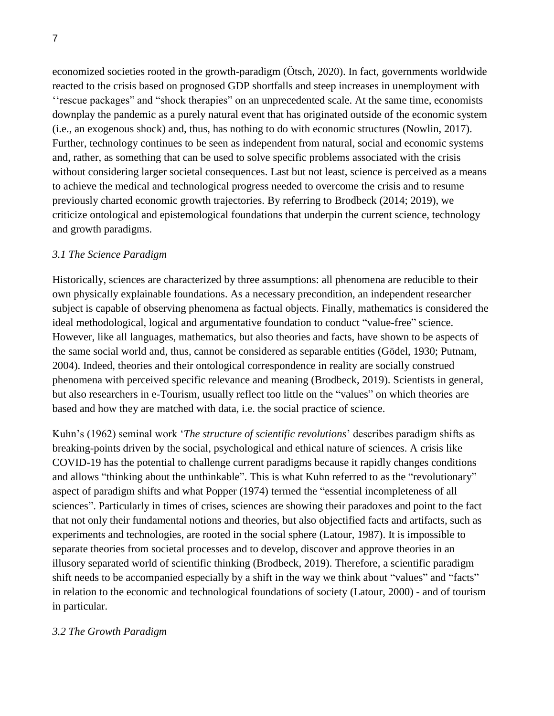economized societies rooted in the growth-paradigm (Ötsch, 2020). In fact, governments worldwide reacted to the crisis based on prognosed GDP shortfalls and steep increases in unemployment with ''rescue packages" and "shock therapies" on an unprecedented scale. At the same time, economists downplay the pandemic as a purely natural event that has originated outside of the economic system (i.e., an exogenous shock) and, thus, has nothing to do with economic structures (Nowlin, 2017). Further, technology continues to be seen as independent from natural, social and economic systems and, rather, as something that can be used to solve specific problems associated with the crisis without considering larger societal consequences. Last but not least, science is perceived as a means to achieve the medical and technological progress needed to overcome the crisis and to resume previously charted economic growth trajectories. By referring to Brodbeck (2014; 2019), we criticize ontological and epistemological foundations that underpin the current science, technology and growth paradigms.

### *3.1 The Science Paradigm*

Historically, sciences are characterized by three assumptions: all phenomena are reducible to their own physically explainable foundations. As a necessary precondition, an independent researcher subject is capable of observing phenomena as factual objects. Finally, mathematics is considered the ideal methodological, logical and argumentative foundation to conduct "value-free" science. However, like all languages, mathematics, but also theories and facts, have shown to be aspects of the same social world and, thus, cannot be considered as separable entities (Gödel, 1930; Putnam, 2004). Indeed, theories and their ontological correspondence in reality are socially construed phenomena with perceived specific relevance and meaning (Brodbeck, 2019). Scientists in general, but also researchers in e-Tourism, usually reflect too little on the "values" on which theories are based and how they are matched with data, i.e. the social practice of science.

Kuhn's (1962) seminal work '*The structure of scientific revolutions*' describes paradigm shifts as breaking-points driven by the social, psychological and ethical nature of sciences. A crisis like COVID-19 has the potential to challenge current paradigms because it rapidly changes conditions and allows "thinking about the unthinkable". This is what Kuhn referred to as the "revolutionary" aspect of paradigm shifts and what Popper (1974) termed the "essential incompleteness of all sciences". Particularly in times of crises, sciences are showing their paradoxes and point to the fact that not only their fundamental notions and theories, but also objectified facts and artifacts, such as experiments and technologies, are rooted in the social sphere (Latour, 1987). It is impossible to separate theories from societal processes and to develop, discover and approve theories in an illusory separated world of scientific thinking (Brodbeck, 2019). Therefore, a scientific paradigm shift needs to be accompanied especially by a shift in the way we think about "values" and "facts" in relation to the economic and technological foundations of society (Latour, 2000) - and of tourism in particular.

#### *3.2 The Growth Paradigm*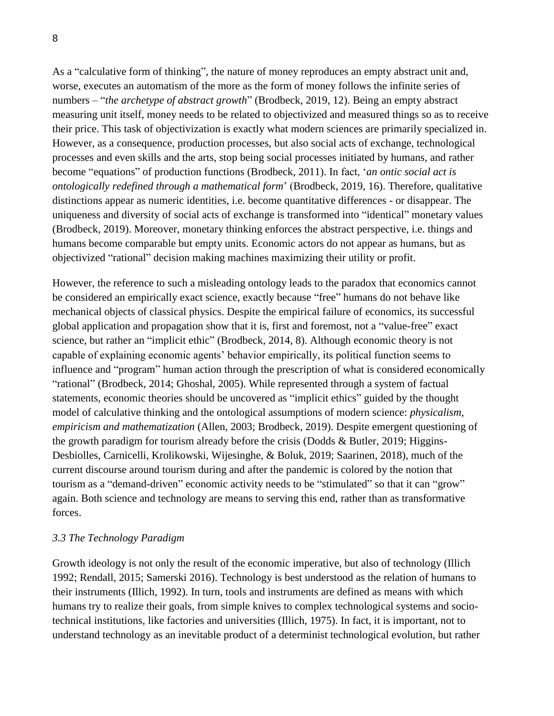As a "calculative form of thinking", the nature of money reproduces an empty abstract unit and, worse, executes an automatism of the more as the form of money follows the infinite series of numbers – "*the archetype of abstract growth*" (Brodbeck, 2019, 12). Being an empty abstract measuring unit itself, money needs to be related to objectivized and measured things so as to receive their price. This task of objectivization is exactly what modern sciences are primarily specialized in. However, as a consequence, production processes, but also social acts of exchange, technological processes and even skills and the arts, stop being social processes initiated by humans, and rather become "equations" of production functions (Brodbeck, 2011). In fact, '*an ontic social act is ontologically redefined through a mathematical form*' (Brodbeck, 2019, 16). Therefore, qualitative distinctions appear as numeric identities, i.e. become quantitative differences - or disappear. The uniqueness and diversity of social acts of exchange is transformed into "identical" monetary values (Brodbeck, 2019). Moreover, monetary thinking enforces the abstract perspective, i.e. things and humans become comparable but empty units. Economic actors do not appear as humans, but as objectivized "rational" decision making machines maximizing their utility or profit.

However, the reference to such a misleading ontology leads to the paradox that economics cannot be considered an empirically exact science, exactly because "free" humans do not behave like mechanical objects of classical physics. Despite the empirical failure of economics, its successful global application and propagation show that it is, first and foremost, not a "value-free" exact science, but rather an "implicit ethic" (Brodbeck, 2014, 8). Although economic theory is not capable of explaining economic agents' behavior empirically, its political function seems to influence and "program" human action through the prescription of what is considered economically "rational" (Brodbeck, 2014; Ghoshal, 2005). While represented through a system of factual statements, economic theories should be uncovered as "implicit ethics" guided by the thought model of calculative thinking and the ontological assumptions of modern science: *physicalism, empiricism and mathematization* (Allen, 2003; Brodbeck, 2019). Despite emergent questioning of the growth paradigm for tourism already before the crisis (Dodds & Butler, 2019; Higgins-Desbiolles, Carnicelli, Krolikowski, Wijesinghe, & Boluk, 2019; Saarinen, 2018), much of the current discourse around tourism during and after the pandemic is colored by the notion that tourism as a "demand-driven" economic activity needs to be "stimulated" so that it can "grow" again. Both science and technology are means to serving this end, rather than as transformative forces.

#### *3.3 The Technology Paradigm*

Growth ideology is not only the result of the economic imperative, but also of technology (Illich 1992; Rendall, 2015; Samerski 2016). Technology is best understood as the relation of humans to their instruments (Illich, 1992). In turn, tools and instruments are defined as means with which humans try to realize their goals, from simple knives to complex technological systems and sociotechnical institutions, like factories and universities (Illich, 1975). In fact, it is important, not to understand technology as an inevitable product of a determinist technological evolution, but rather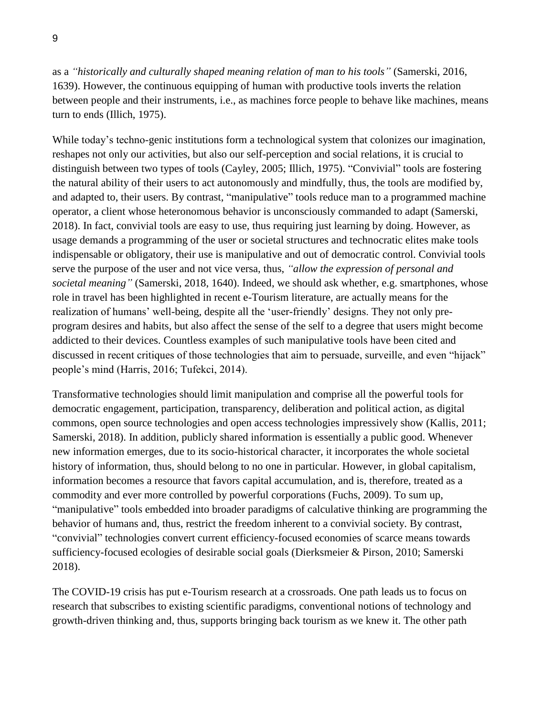as a *"historically and culturally shaped meaning relation of man to his tools"* (Samerski, 2016, 1639). However, the continuous equipping of human with productive tools inverts the relation between people and their instruments, i.e., as machines force people to behave like machines, means turn to ends (Illich, 1975).

While today's techno-genic institutions form a technological system that colonizes our imagination, reshapes not only our activities, but also our self-perception and social relations, it is crucial to distinguish between two types of tools (Cayley, 2005; Illich, 1975). "Convivial" tools are fostering the natural ability of their users to act autonomously and mindfully, thus, the tools are modified by, and adapted to, their users. By contrast, "manipulative" tools reduce man to a programmed machine operator, a client whose heteronomous behavior is unconsciously commanded to adapt (Samerski, 2018). In fact, convivial tools are easy to use, thus requiring just learning by doing. However, as usage demands a programming of the user or societal structures and technocratic elites make tools indispensable or obligatory, their use is manipulative and out of democratic control. Convivial tools serve the purpose of the user and not vice versa, thus, *"allow the expression of personal and societal meaning"* (Samerski, 2018, 1640). Indeed, we should ask whether, e.g. smartphones, whose role in travel has been highlighted in recent e-Tourism literature, are actually means for the realization of humans' well-being, despite all the 'user-friendly' designs. They not only preprogram desires and habits, but also affect the sense of the self to a degree that users might become addicted to their devices. Countless examples of such manipulative tools have been cited and discussed in recent critiques of those technologies that aim to persuade, surveille, and even "hijack" people's mind (Harris, 2016; Tufekci, 2014).

Transformative technologies should limit manipulation and comprise all the powerful tools for democratic engagement, participation, transparency, deliberation and political action, as digital commons, open source technologies and open access technologies impressively show (Kallis, 2011; Samerski, 2018). In addition, publicly shared information is essentially a public good. Whenever new information emerges, due to its socio-historical character, it incorporates the whole societal history of information, thus, should belong to no one in particular. However, in global capitalism, information becomes a resource that favors capital accumulation, and is, therefore, treated as a commodity and ever more controlled by powerful corporations (Fuchs, 2009). To sum up, "manipulative" tools embedded into broader paradigms of calculative thinking are programming the behavior of humans and, thus, restrict the freedom inherent to a convivial society. By contrast, "convivial" technologies convert current efficiency-focused economies of scarce means towards sufficiency-focused ecologies of desirable social goals (Dierksmeier & Pirson, 2010; Samerski 2018).

The COVID-19 crisis has put e-Tourism research at a crossroads. One path leads us to focus on research that subscribes to existing scientific paradigms, conventional notions of technology and growth-driven thinking and, thus, supports bringing back tourism as we knew it. The other path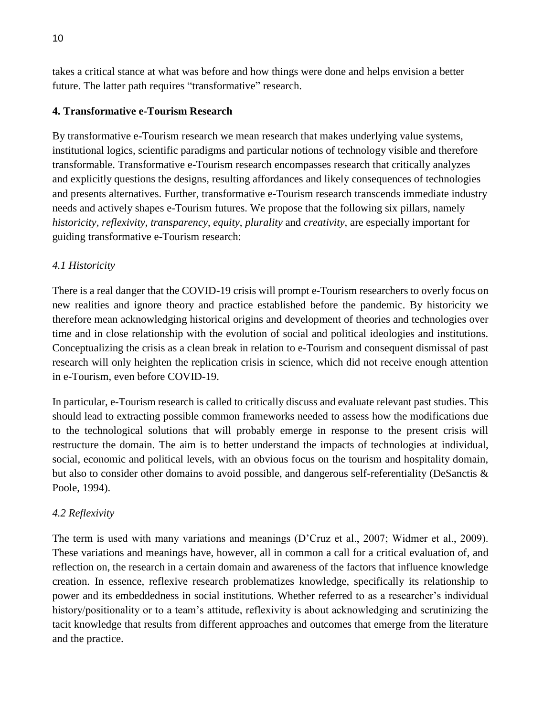takes a critical stance at what was before and how things were done and helps envision a better future. The latter path requires "transformative" research.

## **4. Transformative e-Tourism Research**

By transformative e-Tourism research we mean research that makes underlying value systems, institutional logics, scientific paradigms and particular notions of technology visible and therefore transformable. Transformative e-Tourism research encompasses research that critically analyzes and explicitly questions the designs, resulting affordances and likely consequences of technologies and presents alternatives. Further, transformative e-Tourism research transcends immediate industry needs and actively shapes e-Tourism futures. We propose that the following six pillars, namely *historicity, reflexivity*, *transparency*, *equity*, *plurality* and *creativity*, are especially important for guiding transformative e-Tourism research:

# *4.1 Historicity*

There is a real danger that the COVID-19 crisis will prompt e-Tourism researchers to overly focus on new realities and ignore theory and practice established before the pandemic. By historicity we therefore mean acknowledging historical origins and development of theories and technologies over time and in close relationship with the evolution of social and political ideologies and institutions. Conceptualizing the crisis as a clean break in relation to e-Tourism and consequent dismissal of past research will only heighten the replication crisis in science, which did not receive enough attention in e-Tourism, even before COVID-19.

In particular, e-Tourism research is called to critically discuss and evaluate relevant past studies. This should lead to extracting possible common frameworks needed to assess how the modifications due to the technological solutions that will probably emerge in response to the present crisis will restructure the domain. The aim is to better understand the impacts of technologies at individual, social, economic and political levels, with an obvious focus on the tourism and hospitality domain, but also to consider other domains to avoid possible, and dangerous self-referentiality (DeSanctis & Poole, 1994).

# *4.2 Reflexivity*

The term is used with many variations and meanings (D'Cruz et al., 2007; Widmer et al., 2009). These variations and meanings have, however, all in common a call for a critical evaluation of, and reflection on, the research in a certain domain and awareness of the factors that influence knowledge creation. In essence, reflexive research problematizes knowledge, specifically its relationship to power and its embeddedness in social institutions. Whether referred to as a researcher's individual history/positionality or to a team's attitude, reflexivity is about acknowledging and scrutinizing the tacit knowledge that results from different approaches and outcomes that emerge from the literature and the practice.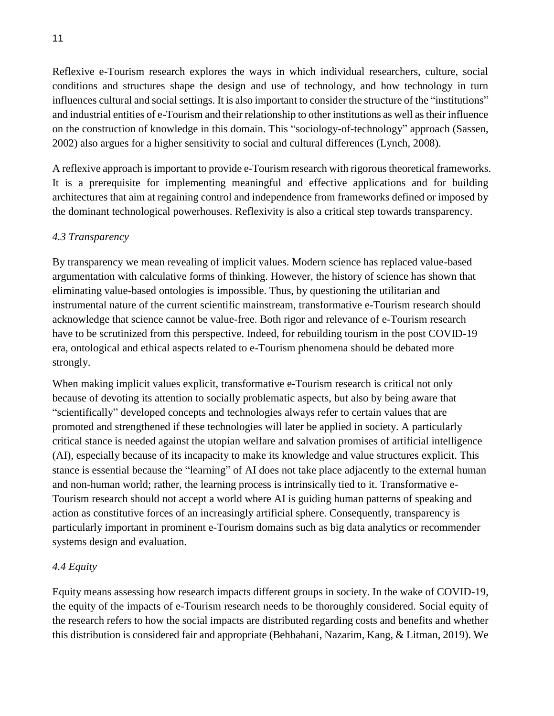Reflexive e-Tourism research explores the ways in which individual researchers, culture, social conditions and structures shape the design and use of technology, and how technology in turn influences cultural and social settings. It is also important to consider the structure of the "institutions" and industrial entities of e-Tourism and their relationship to other institutions as well as their influence on the construction of knowledge in this domain. This "sociology-of-technology" approach (Sassen, 2002) also argues for a higher sensitivity to social and cultural differences (Lynch, 2008).

A reflexive approach is important to provide e-Tourism research with rigorous theoretical frameworks. It is a prerequisite for implementing meaningful and effective applications and for building architectures that aim at regaining control and independence from frameworks defined or imposed by the dominant technological powerhouses. Reflexivity is also a critical step towards transparency.

## *4.3 Transparency*

By transparency we mean revealing of implicit values. Modern science has replaced value-based argumentation with calculative forms of thinking. However, the history of science has shown that eliminating value-based ontologies is impossible. Thus, by questioning the utilitarian and instrumental nature of the current scientific mainstream, transformative e-Tourism research should acknowledge that science cannot be value-free. Both rigor and relevance of e-Tourism research have to be scrutinized from this perspective. Indeed, for rebuilding tourism in the post COVID-19 era, ontological and ethical aspects related to e-Tourism phenomena should be debated more strongly.

When making implicit values explicit, transformative e-Tourism research is critical not only because of devoting its attention to socially problematic aspects, but also by being aware that "scientifically" developed concepts and technologies always refer to certain values that are promoted and strengthened if these technologies will later be applied in society. A particularly critical stance is needed against the utopian welfare and salvation promises of artificial intelligence (AI), especially because of its incapacity to make its knowledge and value structures explicit. This stance is essential because the "learning" of AI does not take place adjacently to the external human and non-human world; rather, the learning process is intrinsically tied to it. Transformative e-Tourism research should not accept a world where AI is guiding human patterns of speaking and action as constitutive forces of an increasingly artificial sphere. Consequently, transparency is particularly important in prominent e-Tourism domains such as big data analytics or recommender systems design and evaluation.

### *4.4 Equity*

Equity means assessing how research impacts different groups in society. In the wake of COVID-19, the equity of the impacts of e-Tourism research needs to be thoroughly considered. Social equity of the research refers to how the social impacts are distributed regarding costs and benefits and whether this distribution is considered fair and appropriate (Behbahani, Nazarim, Kang, & Litman, 2019). We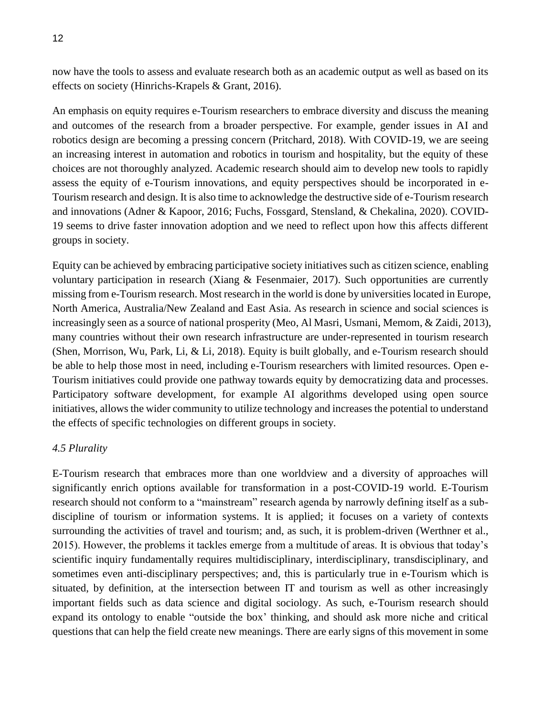now have the tools to assess and evaluate research both as an academic output as well as based on its effects on society (Hinrichs-Krapels & Grant, 2016).

An emphasis on equity requires e-Tourism researchers to embrace diversity and discuss the meaning and outcomes of the research from a broader perspective. For example, gender issues in AI and robotics design are becoming a pressing concern (Pritchard, 2018). With COVID-19, we are seeing an increasing interest in automation and robotics in tourism and hospitality, but the equity of these choices are not thoroughly analyzed. Academic research should aim to develop new tools to rapidly assess the equity of e-Tourism innovations, and equity perspectives should be incorporated in e-Tourism research and design. It is also time to acknowledge the destructive side of e-Tourism research and innovations (Adner & Kapoor, 2016; Fuchs, Fossgard, Stensland, & Chekalina, 2020). COVID-19 seems to drive faster innovation adoption and we need to reflect upon how this affects different groups in society.

Equity can be achieved by embracing participative society initiatives such as citizen science, enabling voluntary participation in research (Xiang & Fesenmaier, 2017). Such opportunities are currently missing from e-Tourism research. Most research in the world is done by universities located in Europe, North America, Australia/New Zealand and East Asia. As research in science and social sciences is increasingly seen as a source of national prosperity (Meo, Al Masri, Usmani, Memom, & Zaidi, 2013), many countries without their own research infrastructure are under-represented in tourism research (Shen, Morrison, Wu, Park, Li, & Li, 2018). Equity is built globally, and e-Tourism research should be able to help those most in need, including e-Tourism researchers with limited resources. Open e-Tourism initiatives could provide one pathway towards equity by democratizing data and processes. Participatory software development, for example AI algorithms developed using open source initiatives, allows the wider community to utilize technology and increases the potential to understand the effects of specific technologies on different groups in society.

#### *4.5 Plurality*

E-Tourism research that embraces more than one worldview and a diversity of approaches will significantly enrich options available for transformation in a post-COVID-19 world. E-Tourism research should not conform to a "mainstream" research agenda by narrowly defining itself as a subdiscipline of tourism or information systems. It is applied; it focuses on a variety of contexts surrounding the activities of travel and tourism; and, as such, it is problem-driven (Werthner et al., 2015). However, the problems it tackles emerge from a multitude of areas. It is obvious that today's scientific inquiry fundamentally requires multidisciplinary, interdisciplinary, transdisciplinary, and sometimes even anti-disciplinary perspectives; and, this is particularly true in e-Tourism which is situated, by definition, at the intersection between IT and tourism as well as other increasingly important fields such as data science and digital sociology. As such, e-Tourism research should expand its ontology to enable "outside the box' thinking, and should ask more niche and critical questions that can help the field create new meanings. There are early signs of this movement in some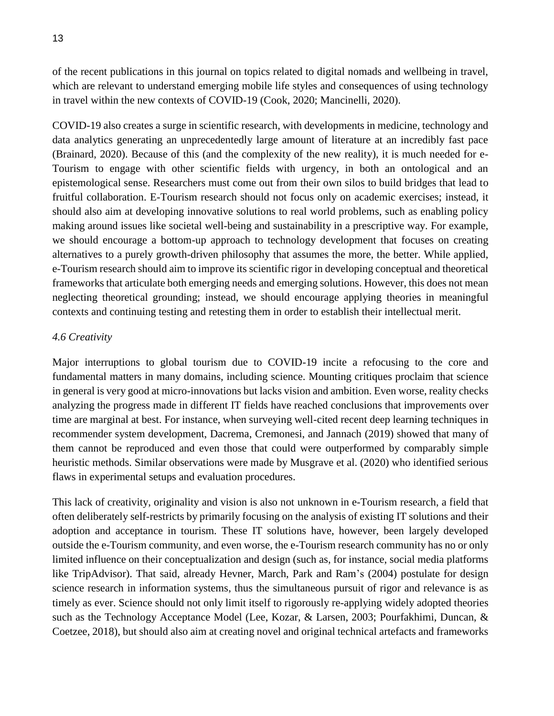of the recent publications in this journal on topics related to digital nomads and wellbeing in travel, which are relevant to understand emerging mobile life styles and consequences of using technology in travel within the new contexts of COVID-19 (Cook, 2020; Mancinelli, 2020).

COVID-19 also creates a surge in scientific research, with developments in medicine, technology and data analytics generating an unprecedentedly large amount of literature at an incredibly fast pace (Brainard, 2020). Because of this (and the complexity of the new reality), it is much needed for e-Tourism to engage with other scientific fields with urgency, in both an ontological and an epistemological sense. Researchers must come out from their own silos to build bridges that lead to fruitful collaboration. E-Tourism research should not focus only on academic exercises; instead, it should also aim at developing innovative solutions to real world problems, such as enabling policy making around issues like societal well-being and sustainability in a prescriptive way. For example, we should encourage a bottom-up approach to technology development that focuses on creating alternatives to a purely growth-driven philosophy that assumes the more, the better. While applied, e-Tourism research should aim to improve its scientific rigor in developing conceptual and theoretical frameworks that articulate both emerging needs and emerging solutions. However, this does not mean neglecting theoretical grounding; instead, we should encourage applying theories in meaningful contexts and continuing testing and retesting them in order to establish their intellectual merit.

### *4.6 Creativity*

Major interruptions to global tourism due to COVID-19 incite a refocusing to the core and fundamental matters in many domains, including science. Mounting critiques proclaim that science in general is very good at micro-innovations but lacks vision and ambition. Even worse, reality checks analyzing the progress made in different IT fields have reached conclusions that improvements over time are marginal at best. For instance, when surveying well-cited recent deep learning techniques in recommender system development, Dacrema, Cremonesi, and Jannach (2019) showed that many of them cannot be reproduced and even those that could were outperformed by comparably simple heuristic methods. Similar observations were made by Musgrave et al. (2020) who identified serious flaws in experimental setups and evaluation procedures.

This lack of creativity, originality and vision is also not unknown in e-Tourism research, a field that often deliberately self-restricts by primarily focusing on the analysis of existing IT solutions and their adoption and acceptance in tourism. These IT solutions have, however, been largely developed outside the e-Tourism community, and even worse, the e-Tourism research community has no or only limited influence on their conceptualization and design (such as, for instance, social media platforms like TripAdvisor). That said, already Hevner, March, Park and Ram's (2004) postulate for design science research in information systems, thus the simultaneous pursuit of rigor and relevance is as timely as ever. Science should not only limit itself to rigorously re-applying widely adopted theories such as the Technology Acceptance Model (Lee, Kozar, & Larsen, 2003; Pourfakhimi, Duncan, & Coetzee, 2018), but should also aim at creating novel and original technical artefacts and frameworks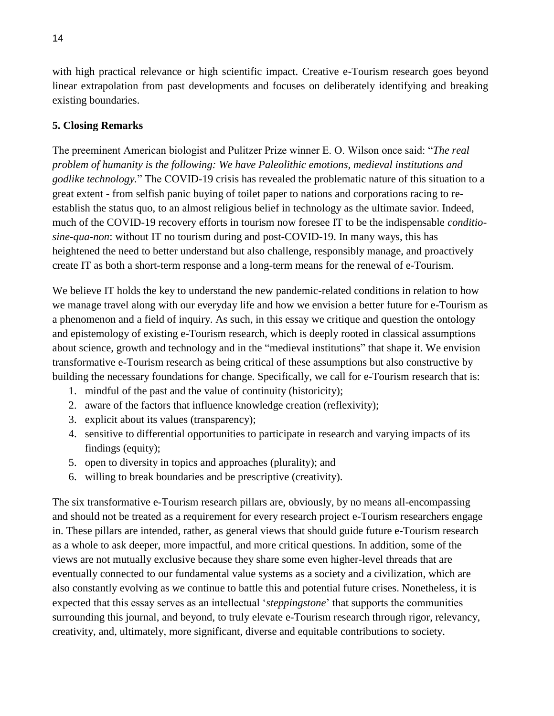with high practical relevance or high scientific impact. Creative e-Tourism research goes beyond linear extrapolation from past developments and focuses on deliberately identifying and breaking existing boundaries.

# **5. Closing Remarks**

The preeminent American biologist and Pulitzer Prize winner E. O. Wilson once said: "*The real problem of humanity is the following: We have Paleolithic emotions, medieval institutions and godlike technology.*" The COVID-19 crisis has revealed the problematic nature of this situation to a great extent - from selfish panic buying of toilet paper to nations and corporations racing to reestablish the status quo, to an almost religious belief in technology as the ultimate savior. Indeed, much of the COVID-19 recovery efforts in tourism now foresee IT to be the indispensable *conditiosine-qua-non*: without IT no tourism during and post-COVID-19. In many ways, this has heightened the need to better understand but also challenge, responsibly manage, and proactively create IT as both a short-term response and a long-term means for the renewal of e-Tourism.

We believe IT holds the key to understand the new pandemic-related conditions in relation to how we manage travel along with our everyday life and how we envision a better future for e-Tourism as a phenomenon and a field of inquiry. As such, in this essay we critique and question the ontology and epistemology of existing e-Tourism research, which is deeply rooted in classical assumptions about science, growth and technology and in the "medieval institutions" that shape it. We envision transformative e-Tourism research as being critical of these assumptions but also constructive by building the necessary foundations for change. Specifically, we call for e-Tourism research that is:

- 1. mindful of the past and the value of continuity (historicity);
- 2. aware of the factors that influence knowledge creation (reflexivity);
- 3. explicit about its values (transparency);
- 4. sensitive to differential opportunities to participate in research and varying impacts of its findings (equity);
- 5. open to diversity in topics and approaches (plurality); and
- 6. willing to break boundaries and be prescriptive (creativity).

The six transformative e-Tourism research pillars are, obviously, by no means all-encompassing and should not be treated as a requirement for every research project e-Tourism researchers engage in. These pillars are intended, rather, as general views that should guide future e-Tourism research as a whole to ask deeper, more impactful, and more critical questions. In addition, some of the views are not mutually exclusive because they share some even higher-level threads that are eventually connected to our fundamental value systems as a society and a civilization, which are also constantly evolving as we continue to battle this and potential future crises. Nonetheless, it is expected that this essay serves as an intellectual '*steppingstone*' that supports the communities surrounding this journal, and beyond, to truly elevate e-Tourism research through rigor, relevancy, creativity, and, ultimately, more significant, diverse and equitable contributions to society.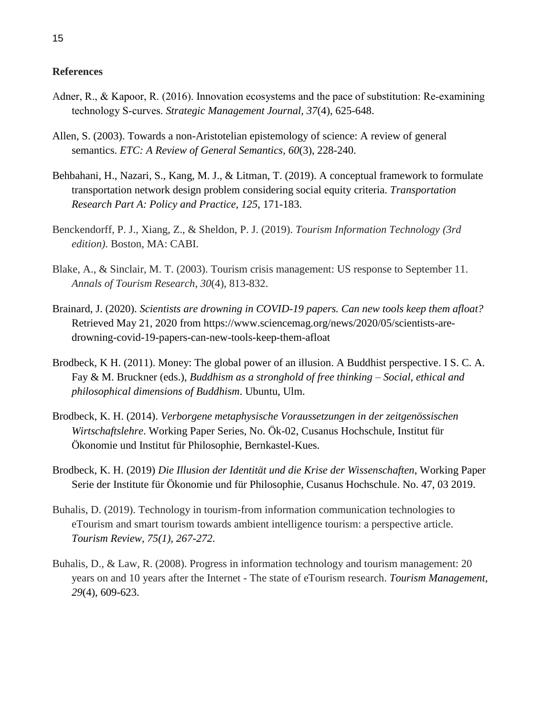#### **References**

- Adner, R., & Kapoor, R. (2016). Innovation ecosystems and the pace of substitution: Re-examining technology S‐curves. *Strategic Management Journal, 37*(4), 625-648.
- Allen, S. (2003). Towards a non-Aristotelian epistemology of science: A review of general semantics. *ETC: A Review of General Semantics, 60*(3), 228-240.
- Behbahani, H., Nazari, S., Kang, M. J., & Litman, T. (2019). A conceptual framework to formulate transportation network design problem considering social equity criteria. *Transportation Research Part A: Policy and Practice, 125*, 171-183.
- Benckendorff, P. J., Xiang, Z., & Sheldon, P. J. (2019). *Tourism Information Technology (3rd edition)*. Boston, MA: CABI.
- Blake, A., & Sinclair, M. T. (2003). Tourism crisis management: US response to September 11. *Annals of Tourism Research*, *30*(4), 813-832.
- Brainard, J. (2020). *Scientists are drowning in COVID-19 papers. Can new tools keep them afloat?* Retrieved May 21, 2020 from https://www.sciencemag.org/news/2020/05/scientists-aredrowning-covid-19-papers-can-new-tools-keep-them-afloat
- Brodbeck, K H. (2011). Money: The global power of an illusion. A Buddhist perspective. I S. C. A. Fay & M. Bruckner (eds.), *Buddhism as a stronghold of free thinking – Social, ethical and philosophical dimensions of Buddhism*. Ubuntu, Ulm.
- Brodbeck, K. H. (2014). *Verborgene metaphysische Voraussetzungen in der zeitgenössischen Wirtschaftslehre*. Working Paper Series, No. Ök-02, Cusanus Hochschule, Institut für Ökonomie und Institut für Philosophie, Bernkastel-Kues.
- Brodbeck, K. H. (2019) *Die Illusion der Identität und die Krise der Wissenschaften*, Working Paper Serie der Institute für Ökonomie und für Philosophie, Cusanus Hochschule. No. 47, 03 2019.
- Buhalis, D. (2019). Technology in tourism-from information communication technologies to eTourism and smart tourism towards ambient intelligence tourism: a perspective article. *Tourism Review, 75(1), 267-272*.
- Buhalis, D., & Law, R. (2008). Progress in information technology and tourism management: 20 years on and 10 years after the Internet - The state of eTourism research. *Tourism Management*, *29*(4), 609-623.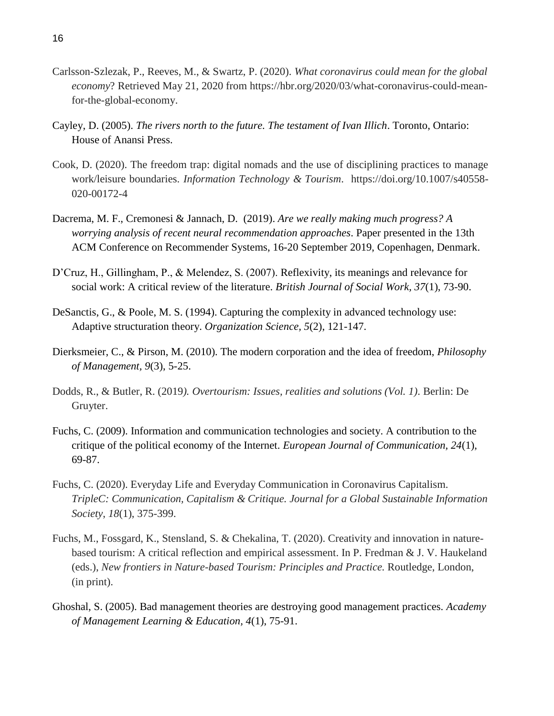- Carlsson-Szlezak, P., Reeves, M., & Swartz, P. (2020). *What coronavirus could mean for the global economy*? Retrieved May 21, 2020 from https://hbr.org/2020/03/what-coronavirus-could-meanfor-the-global-economy.
- Cayley, D. (2005). *The rivers north to the future. The testament of Ivan Illich*. Toronto, Ontario: House of Anansi Press.
- Cook, D. (2020). The freedom trap: digital nomads and the use of disciplining practices to manage work/leisure boundaries. *Information Technology & Tourism*. [https://doi.org/10.1007/s40558-](https://doi.org/10.1007/s40558-020-00172-4) [020-00172-4](https://doi.org/10.1007/s40558-020-00172-4)
- Dacrema, M. F., Cremonesi & Jannach, D. (2019). *Are we really making much progress? A worrying analysis of recent neural recommendation approaches*. Paper presented in the 13th ACM Conference on Recommender Systems, 16-20 September 2019, Copenhagen, Denmark.
- D'Cruz, H., Gillingham, P., & Melendez, S. (2007). Reflexivity, its meanings and relevance for social work: A critical review of the literature. *British Journal of Social Work, 37*(1), 73-90.
- DeSanctis, G., & Poole, M. S. (1994). Capturing the complexity in advanced technology use: Adaptive structuration theory. *Organization Science, 5*(2), 121-147.
- Dierksmeier, C., & Pirson, M. (2010). The modern corporation and the idea of freedom, *Philosophy of Management, 9*(3), 5-25.
- Dodds, R., & Butler, R. (2019*). Overtourism: Issues, realities and solutions (Vol. 1)*. Berlin: De Gruyter.
- Fuchs, C. (2009). Information and communication technologies and society. A contribution to the critique of the political economy of the Internet. *European Journal of Communication, 24*(1), 69-87.
- Fuchs, C. (2020). Everyday Life and Everyday Communication in Coronavirus Capitalism. *TripleC: Communication, Capitalism & Critique. Journal for a Global Sustainable Information Society*, *18*(1), 375-399.
- Fuchs, M., Fossgard, K., Stensland, S. & Chekalina, T. (2020). Creativity and innovation in naturebased tourism: A critical reflection and empirical assessment. In P. Fredman & J. V. Haukeland (eds.), *New frontiers in Nature-based Tourism: Principles and Practice.* Routledge, London, (in print).
- Ghoshal, S. (2005). Bad management theories are destroying good management practices. *Academy of Management Learning & Education, 4*(1), 75-91.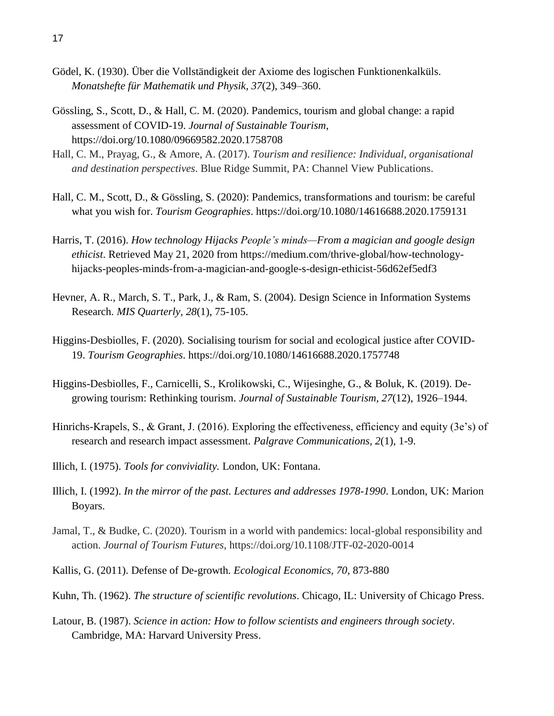- Gödel, K. (1930). Über die Vollständigkeit der Axiome des logischen Funktionenkalküls. *Monatshefte für Mathematik und Physik, 37*(2), 349–360.
- Gössling, S., Scott, D., & Hall, C. M. (2020). Pandemics, tourism and global change: a rapid assessment of COVID-19. *Journal of Sustainable Tourism*, https://doi.org/10.1080/09669582.2020.1758708
- Hall, C. M., Prayag, G., & Amore, A. (2017). *Tourism and resilience: Individual, organisational and destination perspectives*. Blue Ridge Summit, PA: Channel View Publications.
- Hall, C. M., Scott, D., & Gössling, S. (2020): Pandemics, transformations and tourism: be careful what you wish for. *Tourism Geographies*. https://doi.org/10.1080/14616688.2020.1759131
- Harris, T. (2016). *How technology Hijacks People's minds—From a magician and google design ethicist*. Retrieved May 21, 2020 from https://medium.com/thrive-global/how-technologyhijacks-peoples-minds-from-a-magician-and-google-s-design-ethicist-56d62ef5edf3
- Hevner, A. R., March, S. T., Park, J., & Ram, S. (2004). Design Science in Information Systems Research. *MIS Quarterly, 28*(1), 75-105.
- Higgins-Desbiolles, F. (2020). Socialising tourism for social and ecological justice after COVID-19. *Tourism Geographies*. https://doi.org/10.1080/14616688.2020.1757748
- Higgins-Desbiolles, F., Carnicelli, S., Krolikowski, C., Wijesinghe, G., & Boluk, K. (2019). Degrowing tourism: Rethinking tourism. *Journal of Sustainable Tourism, 27*(12), 1926–1944.
- Hinrichs-Krapels, S., & Grant, J. (2016). Exploring the effectiveness, efficiency and equity (3e's) of research and research impact assessment. *Palgrave Communications, 2*(1), 1-9.
- Illich, I. (1975). *Tools for conviviality.* London, UK: Fontana.
- Illich, I. (1992). *In the mirror of the past. Lectures and addresses 1978-1990*. London, UK: Marion Boyars.
- Jamal, T., & Budke, C. (2020). Tourism in a world with pandemics: local-global responsibility and action. *Journal of Tourism Futures*, https://doi.org/10.1108/JTF-02-2020-0014
- Kallis, G. (2011). Defense of De-growth*. Ecological Economics, 70,* 873-880
- Kuhn, Th. (1962). *The structure of scientific revolutions*. Chicago, IL: University of Chicago Press.
- Latour, B. (1987). *[Science in action: How to follow scientists and engineers through society](https://en.wikipedia.org/wiki/Science_in_Action_(book))*. Cambridge, MA[:](https://en.wikipedia.org/wiki/Harvard_University_Press) [Harvard University Press.](https://en.wikipedia.org/wiki/Harvard_University_Press)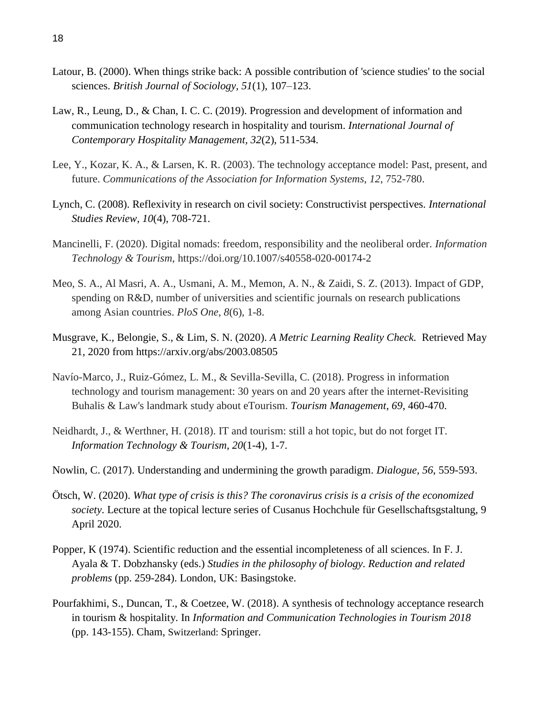- Latour, B. (2000). [When things strike back: A possible contribution of 'science studies' to the social](http://spire.sciencespo.fr/hdl:/2441/5l6uh8ogmqildh09h61ih1289/resources/2000-latour-when-things-strike-back-vauteur.pdf)  [sciences](http://spire.sciencespo.fr/hdl:/2441/5l6uh8ogmqildh09h61ih1289/resources/2000-latour-when-things-strike-back-vauteur.pdf)[.](https://en.wikipedia.org/wiki/British_Journal_of_Sociology) *[British Journal of Sociology,](https://en.wikipedia.org/wiki/British_Journal_of_Sociology) 51*(1), 107–123.
- Law, R., Leung, D., & Chan, I. C. C. (2019). Progression and development of information and communication technology research in hospitality and tourism. *International Journal of Contemporary Hospitality Management, 32*(2), 511-534.
- Lee, Y., Kozar, K. A., & Larsen, K. R. (2003). The technology acceptance model: Past, present, and future. *Communications of the Association for Information Systems*, *12*, 752-780.
- Lynch, C. (2008). Reflexivity in research on civil society: Constructivist perspectives. *International Studies Review, 10*(4), 708-721.
- Mancinelli, F. (2020). Digital nomads: freedom, responsibility and the neoliberal order. *Information Technology & Tourism*, https://doi.org/10.1007/s40558-020-00174-2
- Meo, S. A., Al Masri, A. A., Usmani, A. M., Memon, A. N., & Zaidi, S. Z. (2013). Impact of GDP, spending on R&D, number of universities and scientific journals on research publications among Asian countries. *PloS One, 8*(6), 1-8.
- Musgrave, K., Belongie, S., & Lim, S. N. (2020). *A Metric Learning Reality Check.* Retrieved May 21, 2020 from https://arxiv.org/abs/2003.08505
- Navío-Marco, J., Ruiz-Gómez, L. M., & Sevilla-Sevilla, C. (2018). Progress in information technology and tourism management: 30 years on and 20 years after the internet-Revisiting Buhalis & Law's landmark study about eTourism. *Tourism Management*, *69*, 460-470.
- Neidhardt, J., & Werthner, H. (2018). IT and tourism: still a hot topic, but do not forget IT. *Information Technology & Tourism*, *20*(1-4), 1-7.
- Nowlin, C. (2017). Understanding and undermining the growth paradigm. *Dialogue, 56*, 559-593.
- Ötsch, W. (2020). *What type of crisis is this? The coronavirus crisis is a crisis of the economized society*. Lecture at the topical lecture series of Cusanus Hochchule für Gesellschaftsgstaltung, 9 April 2020.
- Popper, K (1974). Scientific reduction and the essential incompleteness of all sciences. In F. J. Ayala & T. Dobzhansky (eds.) *Studies in the philosophy of biology. Reduction and related problems* (pp. 259-284). London, UK: Basingstoke.
- Pourfakhimi, S., Duncan, T., & Coetzee, W. (2018). A synthesis of technology acceptance research in tourism & hospitality. In *Information and Communication Technologies in Tourism 2018* (pp. 143-155). Cham, Switzerland: Springer.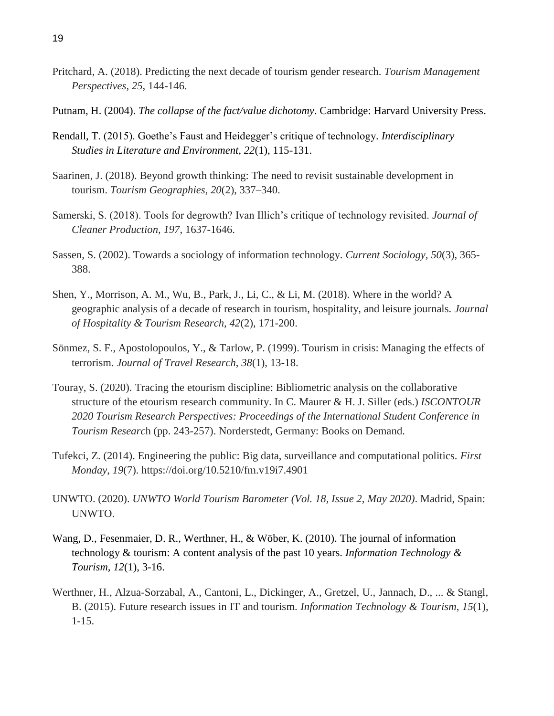- Pritchard, A. (2018). Predicting the next decade of tourism gender research. *Tourism Management Perspectives, 25*, 144-146.
- Putnam, H. (2004). *The collapse of the fact/value dichotomy*. Cambridge: Harvard University Press.
- Rendall, T. (2015). Goethe's Faust and Heidegger's critique of technology. *Interdisciplinary Studies in Literature and Environment, 22*(1), 115-131.
- Saarinen, J. (2018). Beyond growth thinking: The need to revisit sustainable development in tourism. *Tourism Geographies, 20*(2), 337–340.
- Samerski, S. (2018). Tools for degrowth? Ivan Illich's critique of technology revisited. *Journal of Cleaner Production, 197*, 1637-1646.
- Sassen, S. (2002). Towards a sociology of information technology. *Current Sociology, 50*(3), 365- 388.
- Shen, Y., Morrison, A. M., Wu, B., Park, J., Li, C., & Li, M. (2018). Where in the world? A geographic analysis of a decade of research in tourism, hospitality, and leisure journals. *Journal of Hospitality & Tourism Research, 42*(2), 171-200.
- Sönmez, S. F., Apostolopoulos, Y., & Tarlow, P. (1999). Tourism in crisis: Managing the effects of terrorism. *Journal of Travel Research*, *38*(1), 13-18.
- Touray, S. (2020). Tracing the etourism discipline: Bibliometric analysis on the collaborative structure of the etourism research community. In C. Maurer & H. J. Siller (eds.) *ISCONTOUR 2020 Tourism Research Perspectives: Proceedings of the International Student Conference in Tourism Researc*h (pp. 243-257). Norderstedt, Germany: Books on Demand.
- Tufekci, Z. (2014). Engineering the public: Big data, surveillance and computational politics. *First Monday*, *19*(7). https://doi.org/10.5210/fm.v19i7.4901
- UNWTO. (2020). *UNWTO World Tourism Barometer (Vol. 18, Issue 2, May 2020)*. Madrid, Spain: UNWTO.
- Wang, D., Fesenmaier, D. R., Werthner, H., & Wöber, K. (2010). The journal of information technology & tourism: A content analysis of the past 10 years. *Information Technology & Tourism, 12*(1), 3-16.
- Werthner, H., Alzua-Sorzabal, A., Cantoni, L., Dickinger, A., Gretzel, U., Jannach, D., ... & Stangl, B. (2015). Future research issues in IT and tourism. *Information Technology & Tourism*, *15*(1), 1-15.